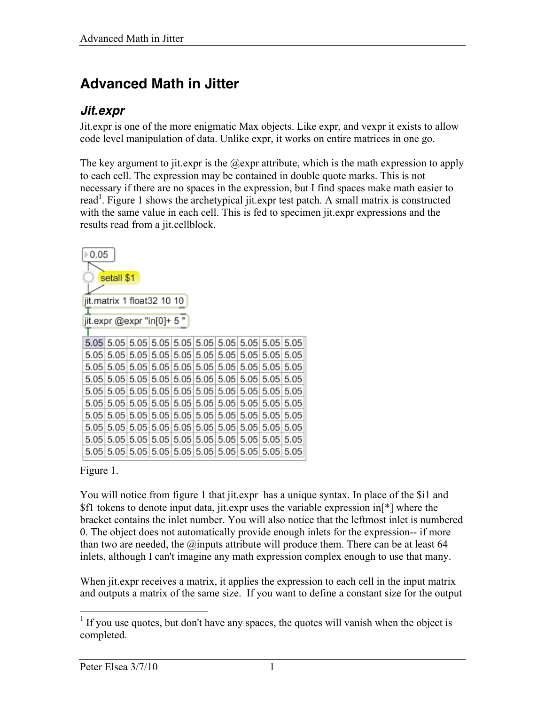# **Advanced Math in Jitter**

### *Jit.expr*

Jit.expr is one of the more enigmatic Max objects. Like expr, and vexpr it exists to allow code level manipulation of data. Unlike expr, it works on entire matrices in one go.

The key argument to jit.expr is the  $@exp$  attribute, which is the math expression to apply to each cell. The expression may be contained in double quote marks. This is not necessary if there are no spaces in the expression, but I find spaces make math easier to read<sup>1</sup>. Figure 1 shows the archetypical jit.expr test patch. A small matrix is constructed with the same value in each cell. This is fed to specimen jit.expr expressions and the results read from a jit.cellblock.

| 0.05       |                            |      |                                   |           |      |                  |           |      |           |
|------------|----------------------------|------|-----------------------------------|-----------|------|------------------|-----------|------|-----------|
| setall \$1 |                            |      |                                   |           |      |                  |           |      |           |
|            |                            |      |                                   |           |      |                  |           |      |           |
|            | jit.matrix 1 float32 10 10 |      |                                   |           |      |                  |           |      |           |
|            | jit.expr @expr "in[0]+ 5 " |      |                                   |           |      |                  |           |      |           |
|            |                            |      |                                   |           |      |                  |           |      |           |
|            |                            |      |                                   |           |      |                  |           |      |           |
| 5.05       | 5.05                       | 5.05 |                                   | 5.05 5.05 |      | $5.05$ 5.05 5.05 |           | 5.05 | 5.05      |
| 5.05       |                            |      | 5.05 5.05 5.05 5.05               |           |      | $5.05$ 5.05 5.05 |           | 5.05 | 5.05      |
| 5.05       |                            |      | $5.05$   $5.05$   $5.05$   $5.05$ |           |      | $5.05$ 5.05 5.05 |           |      | 5.05 5.05 |
| 5.05       |                            |      | $5.05$   $5.05$   $5.05$   $5.05$ |           |      | $5.05$ 5.05 5.05 |           |      | 5.05 5.05 |
| 5.05       |                            |      | $5.05$   $5.05$   $5.05$   $5.05$ |           |      | $5.05$ 5.05 5.05 |           | 5.05 | 5.05      |
| 5.05       | 5.05                       | 5.05 | 5.05                              | 5.05      | 5.05 |                  | 5.05 5.05 | 5.05 | 5.05      |
| 5.05       | 5.05                       | 5.05 | 5.05                              | 5.05      | 5.05 |                  | 5.0515.05 | 5.05 | 5.05      |
| 5.05       | 5.05                       | 5.05 | 5.05                              | 5.05      | 5.05 | 5.05             | 5.05      | 5.05 | 5.05      |
| 5.05       |                            |      |                                   |           |      |                  |           |      |           |

#### Figure 1.

You will notice from figure 1 that jit.expr has a unique syntax. In place of the \$i1 and \$f1 tokens to denote input data, jit.expr uses the variable expression in[\*] where the bracket contains the inlet number. You will also notice that the leftmost inlet is numbered 0. The object does not automatically provide enough inlets for the expression-- if more than two are needed, the  $@$  inputs attribute will produce them. There can be at least 64 inlets, although I can't imagine any math expression complex enough to use that many.

When jit.expr receives a matrix, it applies the expression to each cell in the input matrix and outputs a matrix of the same size. If you want to define a constant size for the output

<sup>&</sup>lt;sup>1</sup> If you use quotes, but don't have any spaces, the quotes will vanish when the object is completed.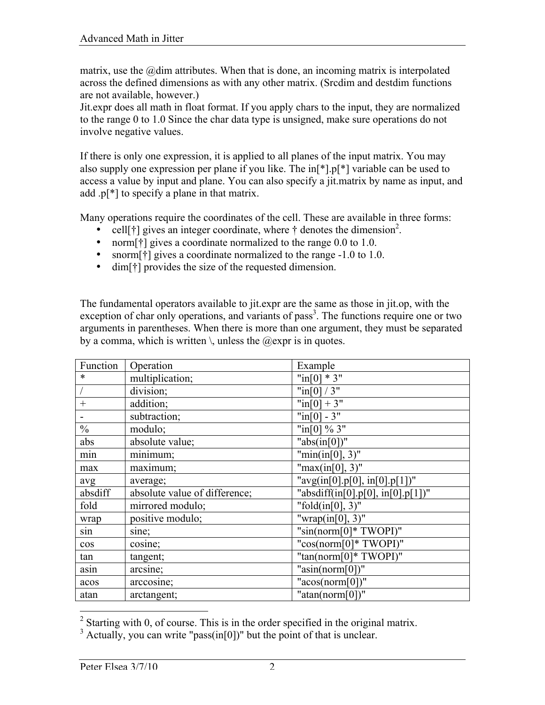matrix, use the  $@$  dim attributes. When that is done, an incoming matrix is interpolated across the defined dimensions as with any other matrix. (Srcdim and destdim functions are not available, however.)

Jit.expr does all math in float format. If you apply chars to the input, they are normalized to the range 0 to 1.0 Since the char data type is unsigned, make sure operations do not involve negative values.

If there is only one expression, it is applied to all planes of the input matrix. You may also supply one expression per plane if you like. The in[\*].p[\*] variable can be used to access a value by input and plane. You can also specify a jit.matrix by name as input, and add .p[\*] to specify a plane in that matrix.

Many operations require the coordinates of the cell. These are available in three forms:

- cell[ $\dagger$ ] gives an integer coordinate, where  $\dagger$  denotes the dimension<sup>2</sup>.
- norm  $\lceil \dagger \rceil$  gives a coordinate normalized to the range 0.0 to 1.0.
- snorm[ $\dagger$ ] gives a coordinate normalized to the range -1.0 to 1.0.
- dim[†] provides the size of the requested dimension.

The fundamental operators available to jit.expr are the same as those in jit.op, with the exception of char only operations, and variants of pass<sup>3</sup>. The functions require one or two arguments in parentheses. When there is more than one argument, they must be separated by a comma, which is written  $\setminus$ , unless the  $@expr$  is in quotes.

| Function      | Operation                     | Example                             |
|---------------|-------------------------------|-------------------------------------|
| $\ast$        | multiplication;               | " $\text{in}[0]$ * 3"               |
|               | division;                     | " $\ln[0]/3$ "                      |
| $+$           | addition;                     | " $\text{in}[0] + 3$ "              |
|               | subtraction;                  | $"in[0]-3"$                         |
| $\frac{0}{0}$ | modulo;                       | "in[0] $\%$ 3"                      |
| abs           | absolute value;               | " $abs(in[0])$ "                    |
| min           | minimum;                      | " $min(in[0], 3)$ "                 |
| max           | maximum;                      | " $max(in[0], 3)$ "                 |
| avg           | average;                      | " $avg(in[0], p[0], in[0], p[1])$ " |
| absdiff       | absolute value of difference; | "absdiff(in[0].p[0], in[0].p[1])"   |
| fold          | mirrored modulo;              | "fold $(in[0], 3)$ "                |
| wrap          | positive modulo;              | "wrap(in[0], $3$ )"                 |
| sın           | sine;                         | " $\sin(norm[0]$ * TWOPI)"          |
| $\cos$        | cosine;                       | "cos(norm[0]* TWOPI)"               |
| tan           | tangent;                      | " $tan(norm[0]*TWOPI)"$             |
| asin          | arcsine;                      | " $asin(norm[0])$ "                 |
| acos          | arccosine;                    | " $acos(norm[0])$ "                 |
| atan          | arctangent;                   | " $atan(norm[0])$ "                 |

<sup>&</sup>lt;sup>2</sup> Starting with 0, of course. This is in the order specified in the original matrix.

 $3$  Actually, you can write "pass(in[0])" but the point of that is unclear.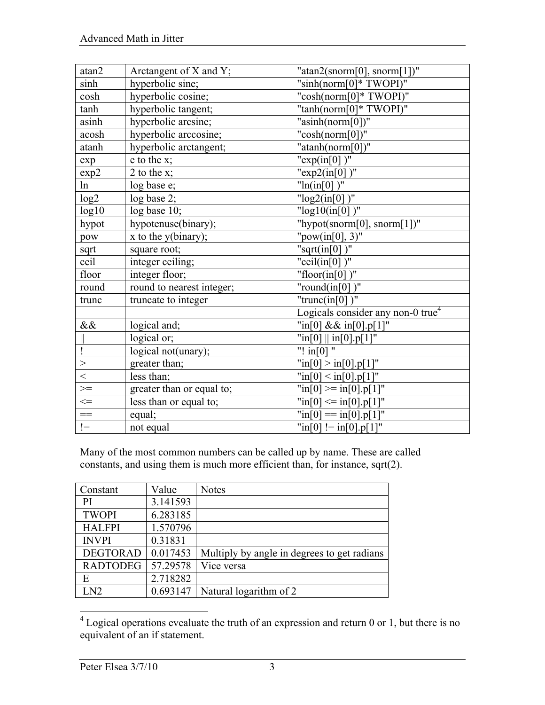| atan2                                | Arctangent of X and Y;    | " $atan2(snorm[0], sorm[1])$ "                   |
|--------------------------------------|---------------------------|--------------------------------------------------|
| sinh                                 | hyperbolic sine;          | "sinh(norm $[0]^*$ TWOPI)"                       |
| cosh                                 | hyperbolic cosine;        | "cosh(norm $[0]^*$ TWOPI)"                       |
| tanh                                 | hyperbolic tangent;       | "tanh(norm[0]* TWOPI)"                           |
| asinh                                | hyperbolic arcsine;       | " $asinh(norm[0])$ "                             |
| acosh                                | hyperbolic arccosine;     | " $cosh(norm[0])$ "                              |
| atanh                                | hyperbolic arctangent;    | "atanh(norm[0])"                                 |
| exp                                  | $e$ to the $x$ ;          | " $exp(in[0])$ "                                 |
| exp2                                 | 2 to the $x$ ;            | "exp2(in[0])"                                    |
| ln                                   | log base e;               | " $ln(in[0])$ "                                  |
| log2                                 | log base 2;               | " $log2(in[0])$ "                                |
| log10                                | log base 10;              | " $log10(in[0])$ "                               |
| hypot                                | hypotenuse(binary);       | "hypot(snorm[0], snorm[1])"                      |
| pow                                  | $x$ to the $y(binary)$ ;  | " $pow(in[0], 3)$ "                              |
| sqrt                                 | square root;              | "sqrt $(in[0])$ "                                |
| ceil                                 | integer ceiling;          | "ceil $(in[0])$ "                                |
| floor                                | integer floor;            | "floor(in[0])"                                   |
| round                                | round to nearest integer; | "round $(in[0])$ "                               |
| trunc                                | truncate to integer       | "trunc(in[0] $\overline{)''}$                    |
|                                      |                           | Logicals consider any non- $0$ true <sup>4</sup> |
| $\&\&$                               | logical and;              | "in[0] $&\&$ in[0].p[1]"                         |
|                                      | logical or;               | $"in[0]$    in[0].p[1]"                          |
|                                      | logical not(unary);       | "! $in[0]$ "                                     |
| $\left. \rule{0.3cm}{0.15cm}\right.$ | greater than;             | $\text{min}[0] > \text{in}[0].p[1]$ "            |
| $\,<$                                | less than;                | $\overline{\text{min}}[0] < \text{in}[0].p[1]$ " |
| $\geq$                               | greater than or equal to; | $\text{Tr}[0] \geq \text{Tr}[0] \cdot p[1]$      |
| $\leq$                               | less than or equal to;    | $\text{min}[0] \leq \text{in}[0].\text{p}[1]$ "  |
| $\equiv$                             | equal;                    | $\text{min}[0] = \text{in}[0].\text{p}[1]$ "     |
| $!=$                                 | not equal                 | " $in[0] := in[0].p[1]$ "                        |

Many of the most common numbers can be called up by name. These are called constants, and using them is much more efficient than, for instance, sqrt(2).

| Constant        | Value    | <b>Notes</b>                                |
|-----------------|----------|---------------------------------------------|
| PI              | 3.141593 |                                             |
| <b>TWOPI</b>    | 6.283185 |                                             |
| <b>HALFPI</b>   | 1.570796 |                                             |
| <b>INVPI</b>    | 0.31831  |                                             |
| <b>DEGTORAD</b> | 0.017453 | Multiply by angle in degrees to get radians |
| <b>RADTODEG</b> | 57.29578 | Vice versa                                  |
| E               | 2.718282 |                                             |
| LN2             | 0.693147 | Natural logarithm of 2                      |

<sup>&</sup>lt;sup>4</sup> Logical operations evealuate the truth of an expression and return 0 or 1, but there is no equivalent of an if statement.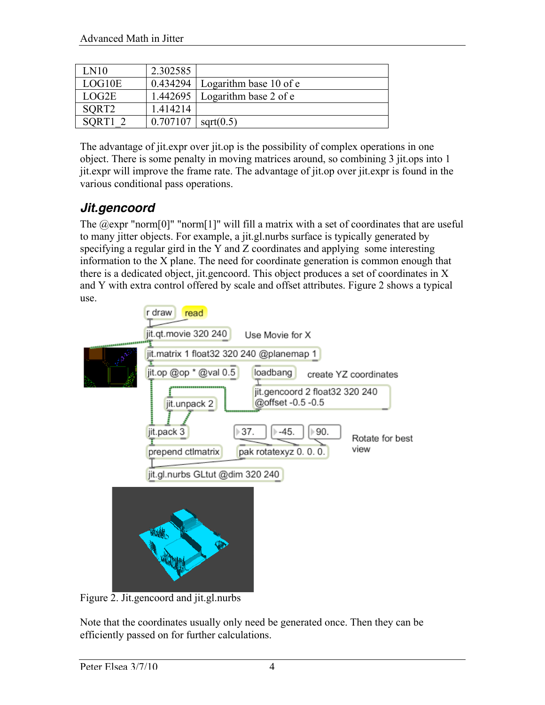| LN10              | 2.302585 |                        |
|-------------------|----------|------------------------|
| LOG10E            | 0.434294 | Logarithm base 10 of e |
| LOG2E             | 1.442695 | Logarithm base 2 of e  |
| SORT <sub>2</sub> | 1.414214 |                        |
| SORT <sub>1</sub> | 0.707107 | sqrt(0.5)              |

The advantage of jit.expr over jit.op is the possibility of complex operations in one object. There is some penalty in moving matrices around, so combining 3 jit.ops into 1 jit.expr will improve the frame rate. The advantage of jit.op over jit.expr is found in the various conditional pass operations.

### *Jit.gencoord*

The  $@expr$  "norm $[0]$ " "norm $[1]$ " will fill a matrix with a set of coordinates that are useful to many jitter objects. For example, a jit.gl.nurbs surface is typically generated by specifying a regular gird in the Y and Z coordinates and applying some interesting information to the X plane. The need for coordinate generation is common enough that there is a dedicated object, jit.gencoord. This object produces a set of coordinates in X and Y with extra control offered by scale and offset attributes. Figure 2 shows a typical use.



Figure 2. Jit.gencoord and jit.gl.nurbs

Note that the coordinates usually only need be generated once. Then they can be efficiently passed on for further calculations.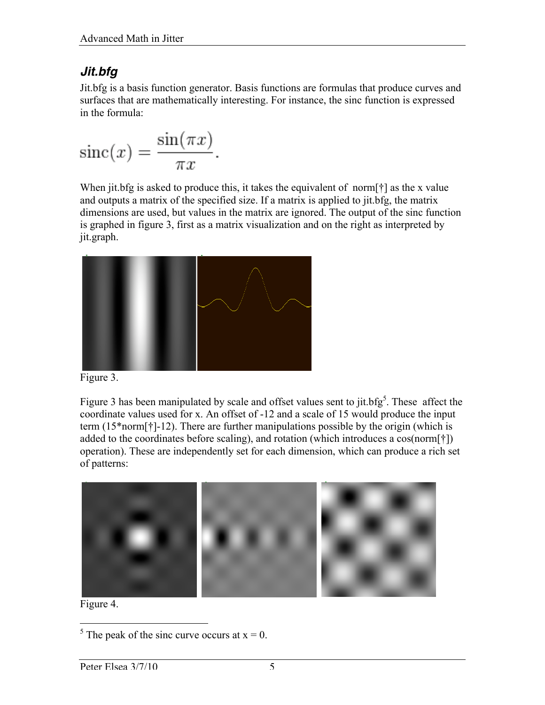## *Jit.bfg*

Jit.bfg is a basis function generator. Basis functions are formulas that produce curves and surfaces that are mathematically interesting. For instance, the sinc function is expressed in the formula:

$$
\operatorname{sinc}(x) = \frac{\sin(\pi x)}{\pi x}.
$$

When jit.bfg is asked to produce this, it takes the equivalent of norm[†] as the x value and outputs a matrix of the specified size. If a matrix is applied to jit.bfg, the matrix dimensions are used, but values in the matrix are ignored. The output of the sinc function is graphed in figure 3, first as a matrix visualization and on the right as interpreted by jit.graph.



Figure 3.

Figure 3 has been manipulated by scale and offset values sent to jit.bfg<sup>5</sup>. These affect the coordinate values used for x. An offset of -12 and a scale of 15 would produce the input term (15\*norm[†]-12). There are further manipulations possible by the origin (which is added to the coordinates before scaling), and rotation (which introduces a cos(norm[†]) operation). These are independently set for each dimension, which can produce a rich set of patterns:



Figure 4.

 $\frac{5}{5}$  The peak of the sinc curve occurs at x = 0.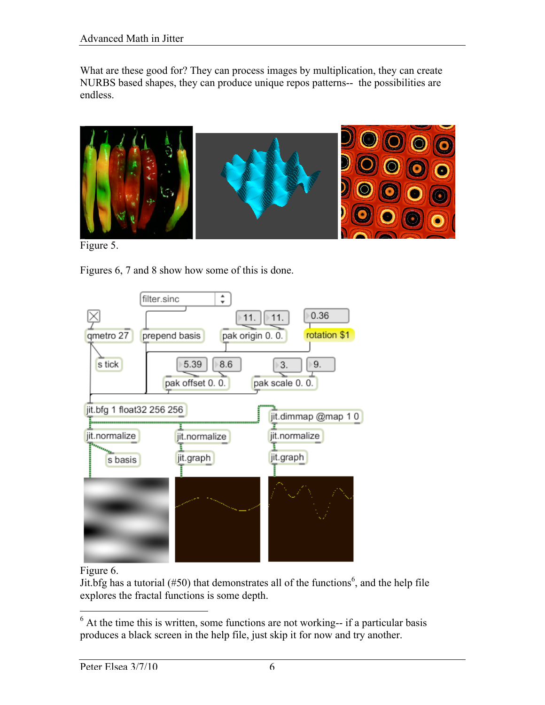What are these good for? They can process images by multiplication, they can create NURBS based shapes, they can produce unique repos patterns-- the possibilities are endless.



Figure 5.

Figures 6, 7 and 8 show how some of this is done.



#### Figure 6.

Jit.bfg has a tutorial (#50) that demonstrates all of the functions<sup>6</sup>, and the help file explores the fractal functions is some depth.

<sup>&</sup>lt;sup>6</sup> At the time this is written, some functions are not working-- if a particular basis produces a black screen in the help file, just skip it for now and try another.